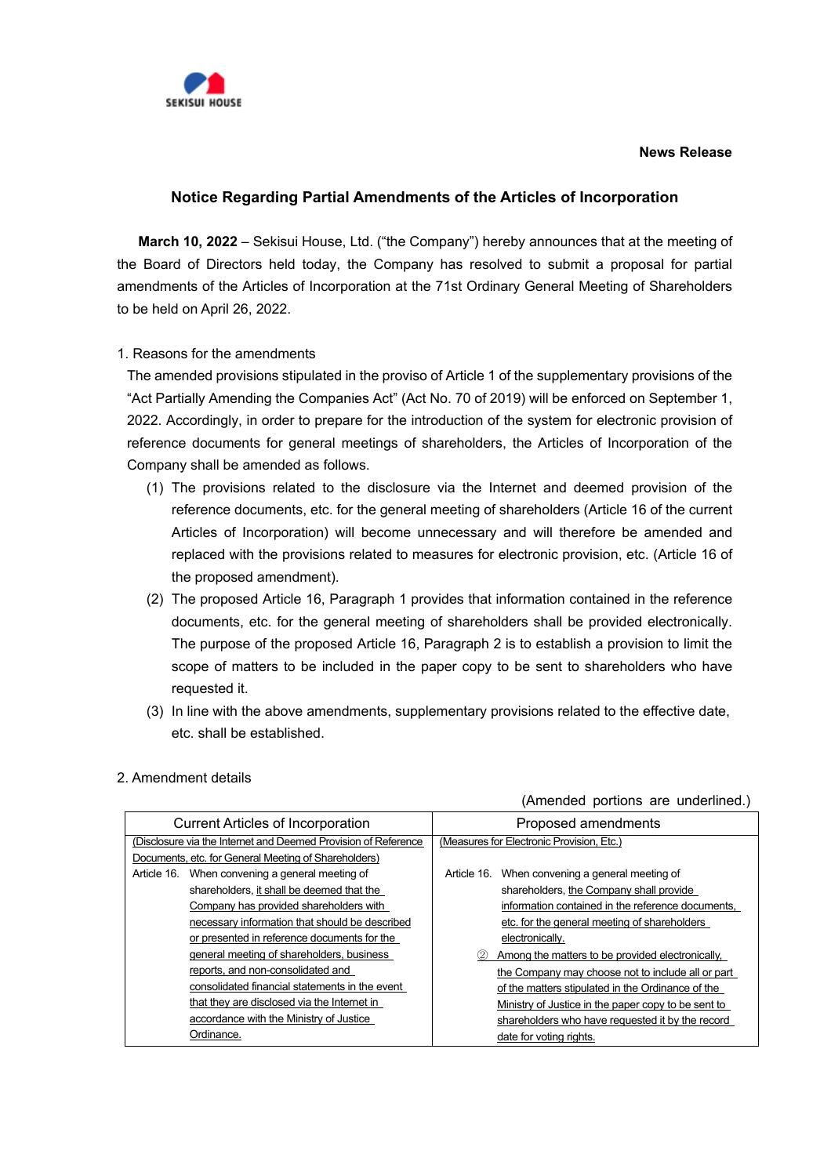

### **News Release**

# **Notice Regarding Partial Amendments of the Articles of Incorporation**

**March 10, 2022** – Sekisui House, Ltd. ("the Company") hereby announces that at the meeting of the Board of Directors held today, the Company has resolved to submit a proposal for partial amendments of the Articles of Incorporation at the 71st Ordinary General Meeting of Shareholders to be held on April 26, 2022.

# 1. Reasons for the amendments

The amended provisions stipulated in the proviso of Article 1 of the supplementary provisions of the "Act Partially Amending the Companies Act" (Act No. 70 of 2019) will be enforced on September 1, 2022. Accordingly, in order to prepare for the introduction of the system for electronic provision of reference documents for general meetings of shareholders, the Articles of Incorporation of the Company shall be amended as follows.

- (1) The provisions related to the disclosure via the Internet and deemed provision of the reference documents, etc. for the general meeting of shareholders (Article 16 of the current Articles of Incorporation) will become unnecessary and will therefore be amended and replaced with the provisions related to measures for electronic provision, etc. (Article 16 of the proposed amendment).
- (2) The proposed Article 16, Paragraph 1 provides that information contained in the reference documents, etc. for the general meeting of shareholders shall be provided electronically. The purpose of the proposed Article 16, Paragraph 2 is to establish a provision to limit the scope of matters to be included in the paper copy to be sent to shareholders who have requested it.
- (3) In line with the above amendments, supplementary provisions related to the effective date, etc. shall be established.

| <b>Current Articles of Incorporation</b>                       | Proposed amendments                                 |  |
|----------------------------------------------------------------|-----------------------------------------------------|--|
| (Disclosure via the Internet and Deemed Provision of Reference | (Measures for Electronic Provision, Etc.)           |  |
| Documents, etc. for General Meeting of Shareholders)           |                                                     |  |
| When convening a general meeting of<br>Article 16.             | When convening a general meeting of<br>Article 16.  |  |
| shareholders, it shall be deemed that the                      | shareholders, the Company shall provide             |  |
| Company has provided shareholders with                         | information contained in the reference documents,   |  |
| necessary information that should be described                 | etc. for the general meeting of shareholders        |  |
| or presented in reference documents for the                    | electronically.                                     |  |
| general meeting of shareholders, business                      | Among the matters to be provided electronically,    |  |
| reports, and non-consolidated and                              | the Company may choose not to include all or part   |  |
| consolidated financial statements in the event                 | of the matters stipulated in the Ordinance of the   |  |
| that they are disclosed via the Internet in                    | Ministry of Justice in the paper copy to be sent to |  |
| accordance with the Ministry of Justice                        | shareholders who have requested it by the record    |  |
| Ordinance.                                                     | date for voting rights.                             |  |

## 2. Amendment details

#### (Amended portions are underlined.)